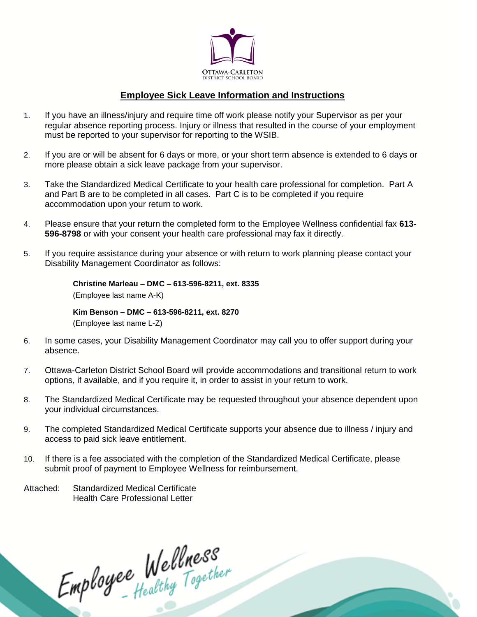

## **Employee Sick Leave Information and Instructions**

- 1. If you have an illness/injury and require time off work please notify your Supervisor as per your regular absence reporting process. Injury or illness that resulted in the course of your employment must be reported to your supervisor for reporting to the WSIB.
- 2. If you are or will be absent for 6 days or more, or your short term absence is extended to 6 days or more please obtain a sick leave package from your supervisor.
- 3. Take the Standardized Medical Certificate to your health care professional for completion. Part A and Part B are to be completed in all cases. Part C is to be completed if you require accommodation upon your return to work.
- 4. Please ensure that your return the completed form to the Employee Wellness confidential fax **613- 596-8798** or with your consent your health care professional may fax it directly.
- 5. If you require assistance during your absence or with return to work planning please contact your Disability Management Coordinator as follows:

**Christine Marleau – DMC – 613-596-8211, ext. 8335** (Employee last name A-K)

**Kim Benson – DMC – 613-596-8211, ext. 8270** (Employee last name L-Z)

- 6. In some cases, your Disability Management Coordinator may call you to offer support during your absence.
- 7. Ottawa-Carleton District School Board will provide accommodations and transitional return to work options, if available, and if you require it, in order to assist in your return to work.
- 8. The Standardized Medical Certificate may be requested throughout your absence dependent upon your individual circumstances.
- 9. The completed Standardized Medical Certificate supports your absence due to illness / injury and access to paid sick leave entitlement.
- 10. If there is a fee associated with the completion of the Standardized Medical Certificate, please submit proof of payment to Employee Wellness for reimbursement.

Attached: Standardized Medical Certificate Health Care Professional Letter

Employee Wellness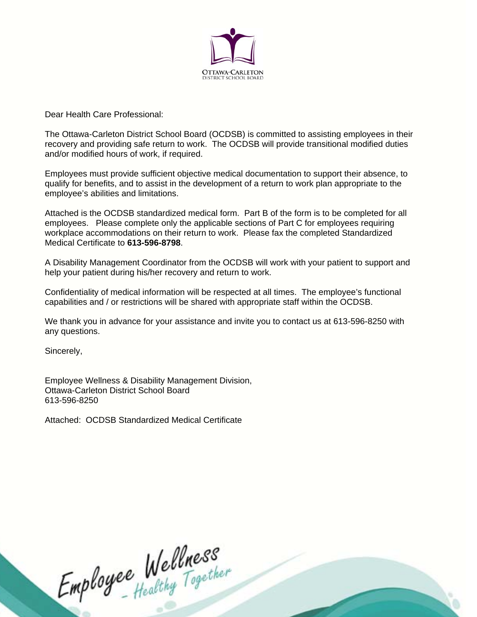

Dear Health Care Professional:

The Ottawa-Carleton District School Board (OCDSB) is committed to assisting employees in their recovery and providing safe return to work. The OCDSB will provide transitional modified duties and/or modified hours of work, if required.

Employees must provide sufficient objective medical documentation to support their absence, to qualify for benefits, and to assist in the development of a return to work plan appropriate to the employee's abilities and limitations.

Attached is the OCDSB standardized medical form. Part B of the form is to be completed for all employees. Please complete only the applicable sections of Part C for employees requiring workplace accommodations on their return to work. Please fax the completed Standardized Medical Certificate to **613-596-8798**.

A Disability Management Coordinator from the OCDSB will work with your patient to support and help your patient during his/her recovery and return to work.

Confidentiality of medical information will be respected at all times. The employee's functional capabilities and / or restrictions will be shared with appropriate staff within the OCDSB.

We thank you in advance for your assistance and invite you to contact us at 613-596-8250 with any questions.

Sincerely,

Employee Wellness & Disability Management Division, Ottawa-Carleton District School Board 613-596-8250

Attached: OCDSB Standardized Medical Certificate

Employee Wellness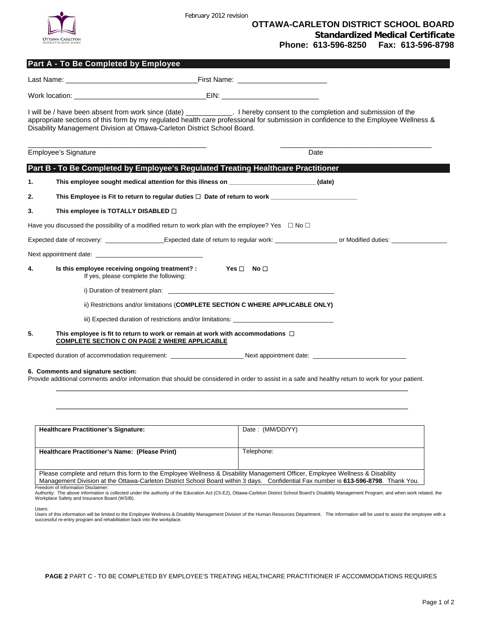

February 2012 revision

|    | Part A - To Be Completed by Employee                                                                                                                                                                                                                                                                                                         |                      |      |  |
|----|----------------------------------------------------------------------------------------------------------------------------------------------------------------------------------------------------------------------------------------------------------------------------------------------------------------------------------------------|----------------------|------|--|
|    |                                                                                                                                                                                                                                                                                                                                              |                      |      |  |
|    |                                                                                                                                                                                                                                                                                                                                              |                      |      |  |
|    | I will be / have been absent from work since (date) ____________. I hereby consent to the completion and submission of the<br>appropriate sections of this form by my regulated health care professional for submission in confidence to the Employee Wellness &<br>Disability Management Division at Ottawa-Carleton District School Board. |                      |      |  |
|    | Employee's Signature                                                                                                                                                                                                                                                                                                                         |                      | Date |  |
|    | Part B - To Be Completed by Employee's Regulated Treating Healthcare Practitioner                                                                                                                                                                                                                                                            |                      |      |  |
| 1. | This employee sought medical attention for this illness on _____________________(date)                                                                                                                                                                                                                                                       |                      |      |  |
| 2. | This Employee is Fit to return to regular duties $\Box$ Date of return to work                                                                                                                                                                                                                                                               |                      |      |  |
| 3. | This employee is TOTALLY DISABLED $\Box$                                                                                                                                                                                                                                                                                                     |                      |      |  |
|    | Have you discussed the possibility of a modified return to work plan with the employee? Yes $\Box$ No $\Box$                                                                                                                                                                                                                                 |                      |      |  |
|    |                                                                                                                                                                                                                                                                                                                                              |                      |      |  |
|    |                                                                                                                                                                                                                                                                                                                                              |                      |      |  |
| 4. | Is this employee receiving ongoing treatment? :<br>If yes, please complete the following:                                                                                                                                                                                                                                                    | $Yes \Box$ No $\Box$ |      |  |
|    |                                                                                                                                                                                                                                                                                                                                              |                      |      |  |
|    | ii) Restrictions and/or limitations (COMPLETE SECTION C WHERE APPLICABLE ONLY)                                                                                                                                                                                                                                                               |                      |      |  |
|    | iii) Expected duration of restrictions and/or limitations:                                                                                                                                                                                                                                                                                   |                      |      |  |
| 5. | This employee is fit to return to work or remain at work with accommodations $\Box$<br><b>COMPLETE SECTION C ON PAGE 2 WHERE APPLICABLE</b>                                                                                                                                                                                                  |                      |      |  |
|    |                                                                                                                                                                                                                                                                                                                                              |                      |      |  |
|    | 6. Comments and signature section:<br>Provide additional comments and/or information that should be considered in order to assist in a safe and healthy return to work for your patient.                                                                                                                                                     |                      |      |  |

| <b>Healthcare Practitioner's Signature:</b>                                                                                                                                                                                                                          | Date: (MM/DD/YY) |  |  |  |  |  |  |
|----------------------------------------------------------------------------------------------------------------------------------------------------------------------------------------------------------------------------------------------------------------------|------------------|--|--|--|--|--|--|
|                                                                                                                                                                                                                                                                      |                  |  |  |  |  |  |  |
| Healthcare Practitioner's Name: (Please Print)                                                                                                                                                                                                                       | Telephone:       |  |  |  |  |  |  |
|                                                                                                                                                                                                                                                                      |                  |  |  |  |  |  |  |
| Please complete and return this form to the Employee Wellness & Disability Management Officer, Employee Wellness & Disability<br>Management Division at the Ottawa-Carleton District School Board within 3 days. Confidential Fax number is 613-596-8798. Thank You. |                  |  |  |  |  |  |  |

\_\_\_\_\_\_\_\_\_\_\_\_\_\_\_\_\_\_\_\_\_\_\_\_\_\_\_\_\_\_\_\_\_\_\_\_\_\_\_\_\_\_\_\_\_\_\_\_\_\_\_\_\_\_\_\_\_\_\_\_\_\_\_\_\_\_\_\_\_\_\_\_\_\_\_\_\_\_\_\_\_

\_\_Management Division at the Ottawa-Carleton District School Board within 3 days. \_\_Confidential Fax number is **613-596-8798**. \_Thank You. \_\_|<br>Freedom of Information Disclaimer:<br>Authority: The above information is colle

Users:

Users of this information will be limited to the Employee Wellness & Disability Management Division of the Human Resources Department. The information will be used to assist the employee with a successful re-entry program and rehabilitation back into the workplace.